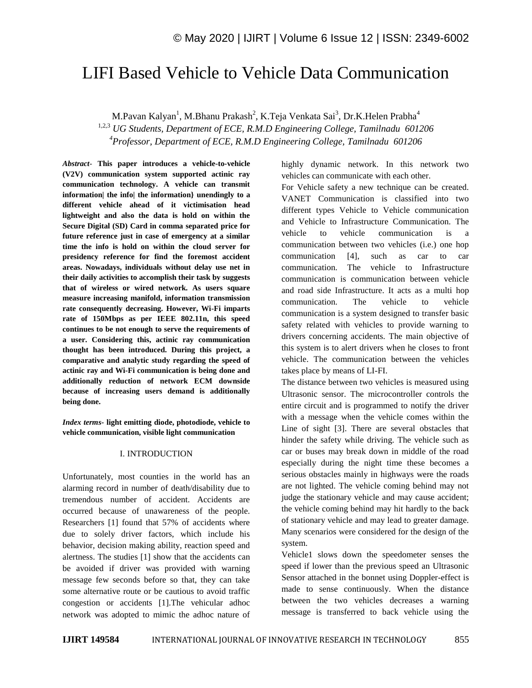# LIFI Based Vehicle to Vehicle Data Communication

M.Pavan Kalyan<sup>1</sup>, M.Bhanu Prakash<sup>2</sup>, K.Teja Venkata Sai<sup>3</sup>, Dr.K.Helen Prabha<sup>4</sup>

1,2,3 *UG Students, Department of ECE, R.M.D Engineering College, Tamilnadu 601206 <sup>4</sup>Professor, Department of ECE, R.M.D Engineering College, Tamilnadu 601206*

*Abstract*- **This paper introduces a vehicle-to-vehicle (V2V) communication system supported actinic ray communication technology. A vehicle can transmit information| the info| the information} unendingly to a different vehicle ahead of it victimisation head lightweight and also the data is hold on within the Secure Digital (SD) Card in comma separated price for future reference just in case of emergency at a similar time the info is hold on within the cloud server for presidency reference for find the foremost accident areas. Nowadays, individuals without delay use net in their daily activities to accomplish their task by suggests that of wireless or wired network. As users square measure increasing manifold, information transmission rate consequently decreasing. However, Wi-Fi imparts rate of 150Mbps as per IEEE 802.11n, this speed continues to be not enough to serve the requirements of a user. Considering this, actinic ray communication thought has been introduced. During this project, a comparative and analytic study regarding the speed of actinic ray and Wi-Fi communication is being done and additionally reduction of network ECM downside because of increasing users demand is additionally being done.**

*Index terms***- light emitting diode, photodiode, vehicle to vehicle communication, visible light communication**

#### I. INTRODUCTION

Unfortunately, most counties in the world has an alarming record in number of death/disability due to tremendous number of accident. Accidents are occurred because of unawareness of the people. Researchers [1] found that 57% of accidents where due to solely driver factors, which include his behavior, decision making ability, reaction speed and alertness. The studies [1] show that the accidents can be avoided if driver was provided with warning message few seconds before so that, they can take some alternative route or be cautious to avoid traffic congestion or accidents [1].The vehicular adhoc network was adopted to mimic the adhoc nature of highly dynamic network. In this network two vehicles can communicate with each other.

For Vehicle safety a new technique can be created. VANET Communication is classified into two different types Vehicle to Vehicle communication and Vehicle to Infrastructure Communication. The vehicle to vehicle communication is a communication between two vehicles (i.e.) one hop communication [4], such as car to car communication. The vehicle to Infrastructure communication is communication between vehicle and road side Infrastructure. It acts as a multi hop communication. The vehicle to vehicle communication is a system designed to transfer basic safety related with vehicles to provide warning to drivers concerning accidents. The main objective of this system is to alert drivers when he closes to front vehicle. The communication between the vehicles takes place by means of LI-FI.

The distance between two vehicles is measured using Ultrasonic sensor. The microcontroller controls the entire circuit and is programmed to notify the driver with a message when the vehicle comes within the Line of sight [3]. There are several obstacles that hinder the safety while driving. The vehicle such as car or buses may break down in middle of the road especially during the night time these becomes a serious obstacles mainly in highways were the roads are not lighted. The vehicle coming behind may not judge the stationary vehicle and may cause accident; the vehicle coming behind may hit hardly to the back of stationary vehicle and may lead to greater damage. Many scenarios were considered for the design of the system.

Vehicle1 slows down the speedometer senses the speed if lower than the previous speed an Ultrasonic Sensor attached in the bonnet using Doppler-effect is made to sense continuously. When the distance between the two vehicles decreases a warning message is transferred to back vehicle using the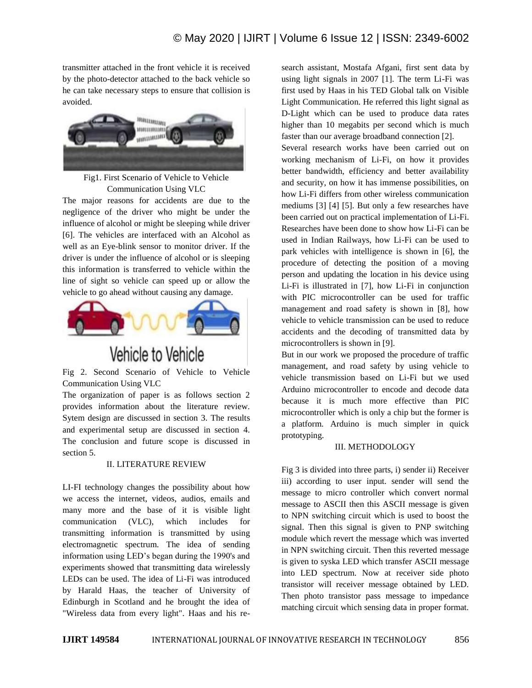transmitter attached in the front vehicle it is received by the photo-detector attached to the back vehicle so he can take necessary steps to ensure that collision is avoided.



Fig1. First Scenario of Vehicle to Vehicle Communication Using VLC

The major reasons for accidents are due to the negligence of the driver who might be under the influence of alcohol or might be sleeping while driver [6]. The vehicles are interfaced with an Alcohol as well as an Eye-blink sensor to monitor driver. If the driver is under the influence of alcohol or is sleeping this information is transferred to vehicle within the line of sight so vehicle can speed up or allow the vehicle to go ahead without causing any damage.



# Vehicle to Vehicle

Fig 2. Second Scenario of Vehicle to Vehicle Communication Using VLC

The organization of paper is as follows section 2 provides information about the literature review. Sytem design are discussed in section 3. The results and experimental setup are discussed in section 4. The conclusion and future scope is discussed in section 5.

# II. LITERATURE REVIEW

LI-FI technology changes the possibility about how we access the internet, videos, audios, emails and many more and the base of it is visible light communication (VLC), which includes for transmitting information is transmitted by using electromagnetic spectrum. The idea of sending information using LED's began during the 1990's and experiments showed that transmitting data wirelessly LEDs can be used. The idea of Li-Fi was introduced by Harald Haas, the teacher of University of Edinburgh in Scotland and he brought the idea of "Wireless data from every light". Haas and his research assistant, Mostafa Afgani, first sent data by using light signals in 2007 [1]. The term Li-Fi was first used by Haas in his TED Global talk on Visible Light Communication. He referred this light signal as D-Light which can be used to produce data rates higher than 10 megabits per second which is much faster than our average broadband connection [2].

Several research works have been carried out on working mechanism of Li-Fi, on how it provides better bandwidth, efficiency and better availability and security, on how it has immense possibilities, on how Li-Fi differs from other wireless communication mediums [3] [4] [5]. But only a few researches have been carried out on practical implementation of Li-Fi. Researches have been done to show how Li-Fi can be used in Indian Railways, how Li-Fi can be used to park vehicles with intelligence is shown in [6], the procedure of detecting the position of a moving person and updating the location in his device using Li-Fi is illustrated in [7], how Li-Fi in conjunction with PIC microcontroller can be used for traffic management and road safety is shown in [8], how vehicle to vehicle transmission can be used to reduce accidents and the decoding of transmitted data by microcontrollers is shown in [9].

But in our work we proposed the procedure of traffic management, and road safety by using vehicle to vehicle transmission based on Li-Fi but we used Arduino microcontroller to encode and decode data because it is much more effective than PIC microcontroller which is only a chip but the former is a platform. Arduino is much simpler in quick prototyping.

#### III. METHODOLOGY

Fig 3 is divided into three parts, i) sender ii) Receiver iii) according to user input. sender will send the message to micro controller which convert normal message to ASCII then this ASCII message is given to NPN switching circuit which is used to boost the signal. Then this signal is given to PNP switching module which revert the message which was inverted in NPN switching circuit. Then this reverted message is given to syska LED which transfer ASCII message into LED spectrum. Now at receiver side photo transistor will receiver message obtained by LED. Then photo transistor pass message to impedance matching circuit which sensing data in proper format.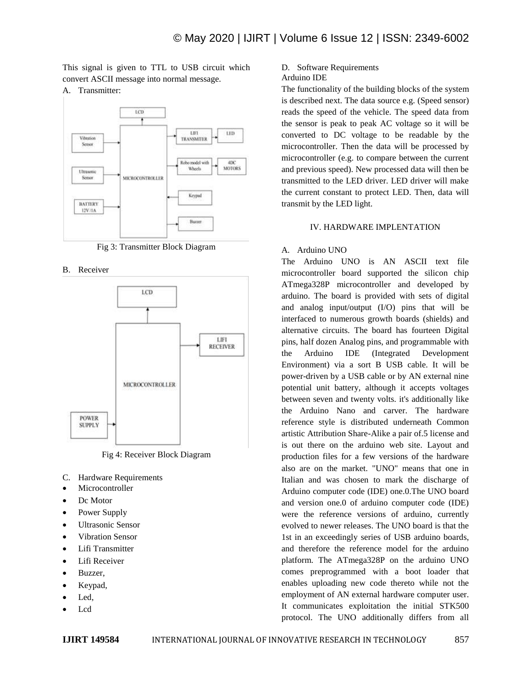This signal is given to TTL to USB circuit which convert ASCII message into normal message.

A. Transmitter:



Fig 3: Transmitter Block Diagram

B. Receiver



Fig 4: Receiver Block Diagram

- C. Hardware Requirements
- Microcontroller
- Dc Motor
- Power Supply
- Ultrasonic Sensor
- Vibration Sensor
- Lifi Transmitter
- Lifi Receiver
- Buzzer,
- Keypad,
- Led,
- Lcd

D. Software Requirements

# Arduino IDE

The functionality of the building blocks of the system is described next. The data source e.g. (Speed sensor) reads the speed of the vehicle. The speed data from the sensor is peak to peak AC voltage so it will be converted to DC voltage to be readable by the microcontroller. Then the data will be processed by microcontroller (e.g. to compare between the current and previous speed). New processed data will then be transmitted to the LED driver. LED driver will make the current constant to protect LED. Then, data will transmit by the LED light.

#### IV. HARDWARE IMPLENTATION

#### A. Arduino UNO

The Arduino UNO is AN ASCII text file microcontroller board supported the silicon chip ATmega328P microcontroller and developed by arduino. The board is provided with sets of digital and analog input/output (I/O) pins that will be interfaced to numerous growth boards (shields) and alternative circuits. The board has fourteen Digital pins, half dozen Analog pins, and programmable with the Arduino IDE (Integrated Development Environment) via a sort B USB cable. It will be power-driven by a USB cable or by AN external nine potential unit battery, although it accepts voltages between seven and twenty volts. it's additionally like the Arduino Nano and carver. The hardware reference style is distributed underneath Common artistic Attribution Share-Alike a pair of.5 license and is out there on the arduino web site. Layout and production files for a few versions of the hardware also are on the market. "UNO" means that one in Italian and was chosen to mark the discharge of Arduino computer code (IDE) one.0.The UNO board and version one.0 of arduino computer code (IDE) were the reference versions of arduino, currently evolved to newer releases. The UNO board is that the 1st in an exceedingly series of USB arduino boards, and therefore the reference model for the arduino platform. The ATmega328P on the arduino UNO comes preprogrammed with a boot loader that enables uploading new code thereto while not the employment of AN external hardware computer user. It communicates exploitation the initial STK500 protocol. The UNO additionally differs from all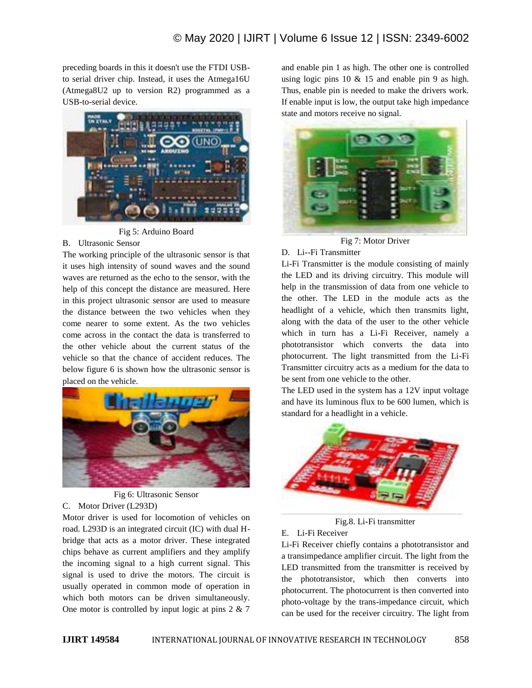preceding boards in this it doesn't use the FTDI USBto serial driver chip. Instead, it uses the Atmega16U (Atmega8U2 up to version R2) programmed as a USB-to-serial device.



Fig 5: Arduino Board

#### B. Ultrasonic Sensor

The working principle of the ultrasonic sensor is that it uses high intensity of sound waves and the sound waves are returned as the echo to the sensor, with the help of this concept the distance are measured. Here in this project ultrasonic sensor are used to measure the distance between the two vehicles when they come nearer to some extent. As the two vehicles come across in the contact the data is transferred to the other vehicle about the current status of the vehicle so that the chance of accident reduces. The below figure 6 is shown how the ultrasonic sensor is placed on the vehicle.



Fig 6: Ultrasonic Sensor C. Motor Driver (L293D)

Motor driver is used for locomotion of vehicles on road. L293D is an integrated circuit (IC) with dual Hbridge that acts as a motor driver. These integrated chips behave as current amplifiers and they amplify the incoming signal to a high current signal. This signal is used to drive the motors. The circuit is usually operated in common mode of operation in which both motors can be driven simultaneously. One motor is controlled by input logic at pins 2 & 7

and enable pin 1 as high. The other one is controlled using logic pins  $10 \& 15$  and enable pin 9 as high. Thus, enable pin is needed to make the drivers work. If enable input is low, the output take high impedance state and motors receive no signal.



Fig 7: Motor Driver

#### D. Li--Fi Transmitter

Li-Fi Transmitter is the module consisting of mainly the LED and its driving circuitry. This module will help in the transmission of data from one vehicle to the other. The LED in the module acts as the headlight of a vehicle, which then transmits light, along with the data of the user to the other vehicle which in turn has a Li-Fi Receiver, namely a phototransistor which converts the data into photocurrent. The light transmitted from the Li-Fi Transmitter circuitry acts as a medium for the data to be sent from one vehicle to the other.

The LED used in the system has a 12V input voltage and have its luminous flux to be 600 lumen, which is standard for a headlight in a vehicle.



Fig.8. Li-Fi transmitter

#### E. Li-Fi Receiver

Li-Fi Receiver chiefly contains a phototransistor and a transimpedance amplifier circuit. The light from the LED transmitted from the transmitter is received by the phototransistor, which then converts into photocurrent. The photocurrent is then converted into photo-voltage by the trans-impedance circuit, which can be used for the receiver circuitry. The light from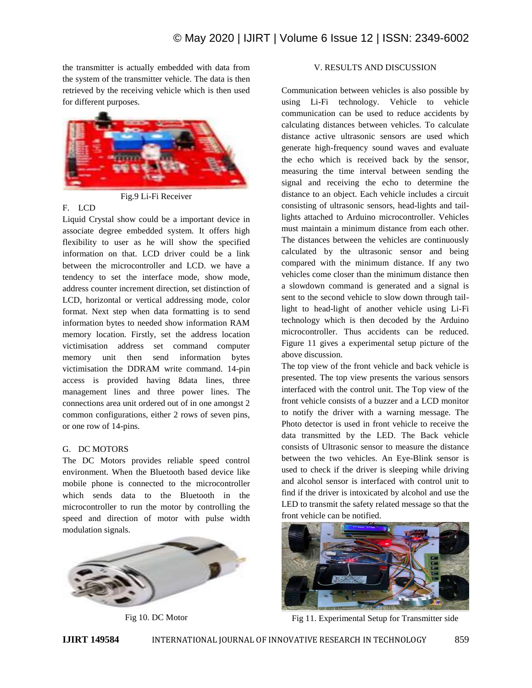the transmitter is actually embedded with data from the system of the transmitter vehicle. The data is then retrieved by the receiving vehicle which is then used for different purposes.



Fig.9 Li-Fi Receiver

## F. LCD

Liquid Crystal show could be a important device in associate degree embedded system. It offers high flexibility to user as he will show the specified information on that. LCD driver could be a link between the microcontroller and LCD. we have a tendency to set the interface mode, show mode, address counter increment direction, set distinction of LCD, horizontal or vertical addressing mode, color format. Next step when data formatting is to send information bytes to needed show information RAM memory location. Firstly, set the address location victimisation address set command computer memory unit then send information bytes victimisation the DDRAM write command. 14-pin access is provided having 8data lines, three management lines and three power lines. The connections area unit ordered out of in one amongst 2 common configurations, either 2 rows of seven pins, or one row of 14-pins.

# G. DC MOTORS

The DC Motors provides reliable speed control environment. When the Bluetooth based device like mobile phone is connected to the microcontroller which sends data to the Bluetooth in the microcontroller to run the motor by controlling the speed and direction of motor with pulse width modulation signals.



Fig 10. DC Motor

# V. RESULTS AND DISCUSSION

Communication between vehicles is also possible by using Li-Fi technology. Vehicle to vehicle communication can be used to reduce accidents by calculating distances between vehicles. To calculate distance active ultrasonic sensors are used which generate high-frequency sound waves and evaluate the echo which is received back by the sensor, measuring the time interval between sending the signal and receiving the echo to determine the distance to an object. Each vehicle includes a circuit consisting of ultrasonic sensors, head-lights and taillights attached to Arduino microcontroller. Vehicles must maintain a minimum distance from each other. The distances between the vehicles are continuously calculated by the ultrasonic sensor and being compared with the minimum distance. If any two vehicles come closer than the minimum distance then a slowdown command is generated and a signal is sent to the second vehicle to slow down through taillight to head-light of another vehicle using Li-Fi technology which is then decoded by the Arduino microcontroller. Thus accidents can be reduced. Figure 11 gives a experimental setup picture of the above discussion.

The top view of the front vehicle and back vehicle is presented. The top view presents the various sensors interfaced with the control unit. The Top view of the front vehicle consists of a buzzer and a LCD monitor to notify the driver with a warning message. The Photo detector is used in front vehicle to receive the data transmitted by the LED. The Back vehicle consists of Ultrasonic sensor to measure the distance between the two vehicles. An Eye-Blink sensor is used to check if the driver is sleeping while driving and alcohol sensor is interfaced with control unit to find if the driver is intoxicated by alcohol and use the LED to transmit the safety related message so that the front vehicle can be notified.



Fig 11. Experimental Setup for Transmitter side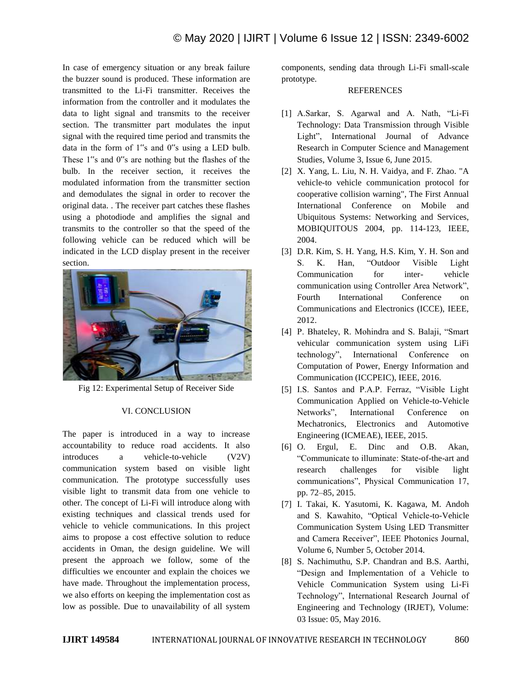In case of emergency situation or any break failure the buzzer sound is produced. These information are transmitted to the Li-Fi transmitter. Receives the information from the controller and it modulates the data to light signal and transmits to the receiver section. The transmitter part modulates the input signal with the required time period and transmits the data in the form of 1"s and 0"s using a LED bulb. These 1"s and 0"s are nothing but the flashes of the bulb. In the receiver section, it receives the modulated information from the transmitter section and demodulates the signal in order to recover the original data. . The receiver part catches these flashes using a photodiode and amplifies the signal and transmits to the controller so that the speed of the following vehicle can be reduced which will be indicated in the LCD display present in the receiver section.



Fig 12: Experimental Setup of Receiver Side

#### VI. CONCLUSION

The paper is introduced in a way to increase accountability to reduce road accidents. It also introduces a vehicle-to-vehicle (V2V) communication system based on visible light communication. The prototype successfully uses visible light to transmit data from one vehicle to other. The concept of Li-Fi will introduce along with existing techniques and classical trends used for vehicle to vehicle communications. In this project aims to propose a cost effective solution to reduce accidents in Oman, the design guideline. We will present the approach we follow, some of the difficulties we encounter and explain the choices we have made. Throughout the implementation process, we also efforts on keeping the implementation cost as low as possible. Due to unavailability of all system components, sending data through Li-Fi small-scale prototype.

#### **REFERENCES**

- [1] A.Sarkar, S. Agarwal and A. Nath, "Li-Fi Technology: Data Transmission through Visible Light", International Journal of Advance Research in Computer Science and Management Studies, Volume 3, Issue 6, June 2015.
- [2] X. Yang, L. Liu, N. H. Vaidya, and F. Zhao. "A vehicle-to vehicle communication protocol for cooperative collision warning", The First Annual International Conference on Mobile and Ubiquitous Systems: Networking and Services, MOBIQUITOUS 2004, pp. 114-123, IEEE, 2004.
- [3] D.R. Kim, S. H. Yang, H.S. Kim, Y. H. Son and S. K. Han, "Outdoor Visible Light Communication for inter- vehicle communication using Controller Area Network", Fourth International Conference on Communications and Electronics (ICCE), IEEE, 2012.
- [4] P. Bhateley, R. Mohindra and S. Balaji, "Smart vehicular communication system using LiFi technology", International Conference on Computation of Power, Energy Information and Communication (ICCPEIC), IEEE, 2016.
- [5] I.S. Santos and P.A.P. Ferraz, "Visible Light Communication Applied on Vehicle-to-Vehicle Networks", International Conference on Mechatronics, Electronics and Automotive Engineering (ICMEAE), IEEE, 2015.
- [6] O. Ergul, E. Dinc and O.B. Akan, "Communicate to illuminate: State-of-the-art and research challenges for visible light communications", Physical Communication 17, pp. 72–85, 2015.
- [7] I. Takai, K. Yasutomi, K. Kagawa, M. Andoh and S. Kawahito, "Optical Vehicle-to-Vehicle Communication System Using LED Transmitter and Camera Receiver", IEEE Photonics Journal, Volume 6, Number 5, October 2014.
- [8] S. Nachimuthu, S.P. Chandran and B.S. Aarthi, "Design and Implementation of a Vehicle to Vehicle Communication System using Li-Fi Technology", International Research Journal of Engineering and Technology (IRJET), Volume: 03 Issue: 05, May 2016.